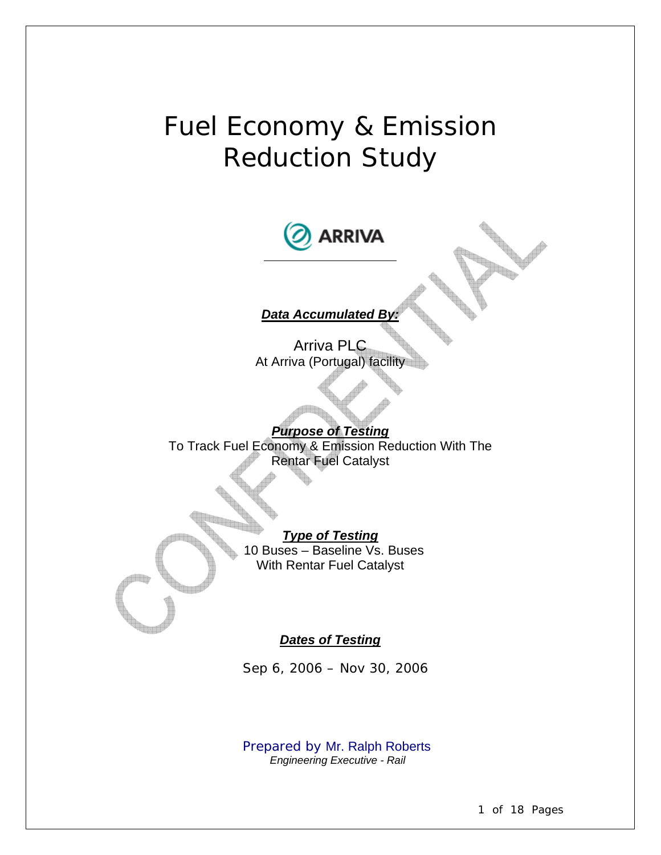# Fuel Economy & Emission Reduction Study



#### *Dates of Testing*

*Sep 6, 2006 – Nov 30, 2006* 

 *Prepared by* Mr. Ralph Roberts *Engineering Executive - Rail*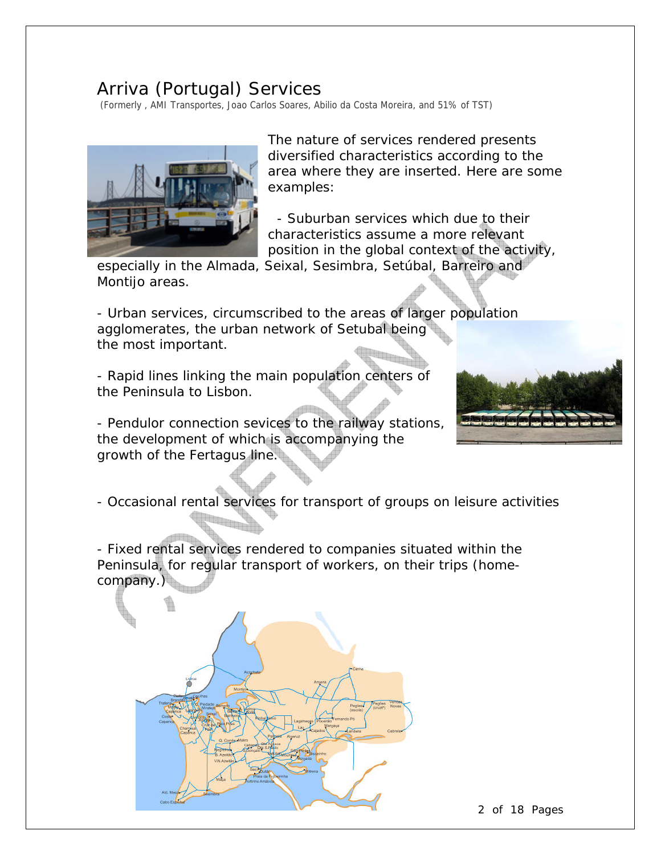## Arriva (Portugal) Services

(Formerly , AMI Transportes, Joao Carlos Soares, Abilio da Costa Moreira, and 51% of TST)



The nature of services rendered presents diversified characteristics according to the area where they are inserted. Here are some examples:

 - Suburban services which due to their characteristics assume a more relevant position in the global context of the activity,

especially in the Almada, Seixal, Sesimbra, Setúbal, Barreiro and Montijo areas.

- Urban services, circumscribed to the areas of larger population agglomerates, the urban network of Setubal being the most important.

- Rapid lines linking the main population centers of the Peninsula to Lisbon.

- Pendulor connection sevices to the railway stations, the development of which is accompanying the growth of the Fertagus line.



- Occasional rental services for transport of groups on leisure activities 

- Fixed rental services rendered to companies situated within the Peninsula, for regular transport of workers, on their trips (homecompany.)



2 of 18 Pages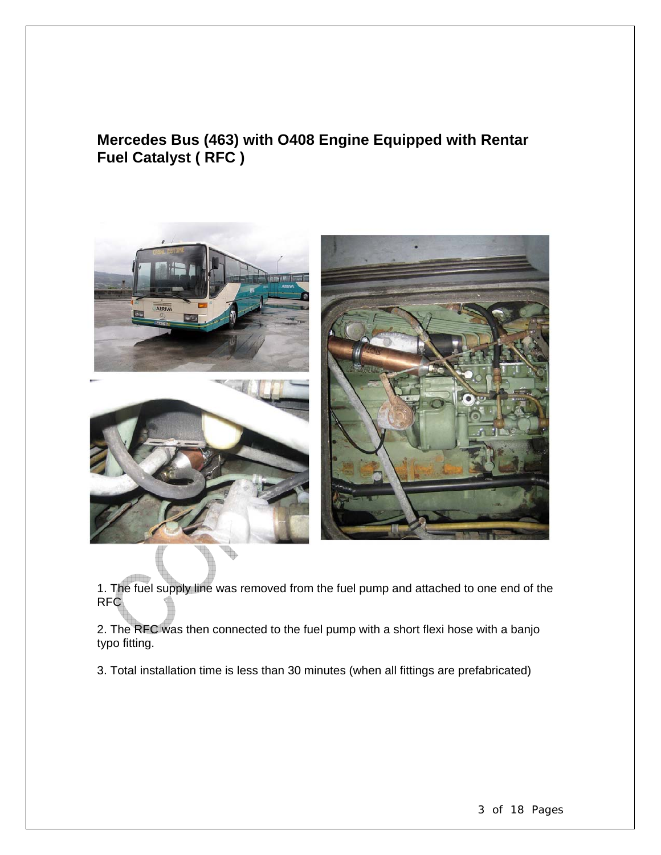## **Mercedes Bus (463) with O408 Engine Equipped with Rentar Fuel Catalyst ( RFC )**







1. The fuel supply line was removed from the fuel pump and attached to one end of the RFC

2. The RFC was then connected to the fuel pump with a short flexi hose with a banjo typo fitting.

3. Total installation time is less than 30 minutes (when all fittings are prefabricated)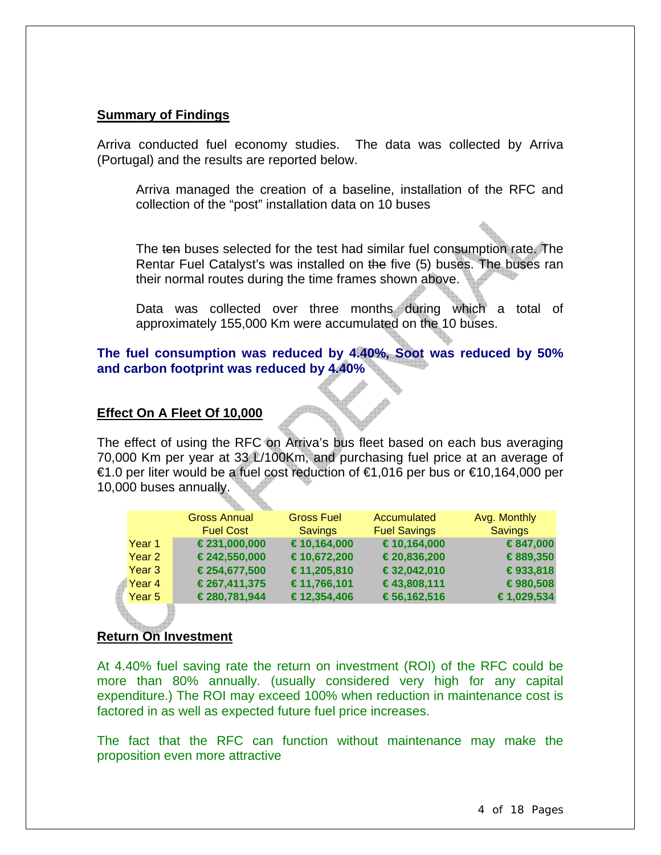#### **Summary of Findings**

Arriva conducted fuel economy studies. The data was collected by Arriva (Portugal) and the results are reported below.

Arriva managed the creation of a baseline, installation of the RFC and collection of the "post" installation data on 10 buses

The ten buses selected for the test had similar fuel consumption rate. The Rentar Fuel Catalyst's was installed on the five (5) buses. The buses ran their normal routes during the time frames shown above.

Data was collected over three months during which a total of approximately 155,000 Km were accumulated on the 10 buses.

#### **The fuel consumption was reduced by 4.40%, Soot was reduced by 50% and carbon footprint was reduced by 4.40%**

#### **Effect On A Fleet Of 10,000**

The effect of using the RFC on Arriva's bus fleet based on each bus averaging 70,000 Km per year at 33 L/100Km, and purchasing fuel price at an average of €1.0 per liter would be a fuel cost reduction of €1,016 per bus or €10,164,000 per 10,000 buses annually.

|        | <b>Gross Annual</b> | <b>Gross Fuel</b> | Accumulated         | Avg. Monthly   |
|--------|---------------------|-------------------|---------------------|----------------|
|        | <b>Fuel Cost</b>    | <b>Savings</b>    | <b>Fuel Savings</b> | <b>Savings</b> |
| Year 1 | €231,000,000        | €10,164,000       | €10,164,000         | €847,000       |
| Year 2 | €242,550,000        | €10,672,200       | €20,836,200         | €889,350       |
| Year 3 | €254,677,500        | €11,205,810       | €32,042,010         | €933,818       |
| Year 4 | €267,411,375        | €11,766,101       | €43,808,111         | €980,508       |
| Year 5 | €280,781,944        | €12,354,406       | €56,162,516         | €1,029,534     |
|        |                     |                   |                     |                |

#### **Return On Investment**

At 4.40% fuel saving rate the return on investment (ROI) of the RFC could be more than 80% annually. (usually considered very high for any capital expenditure.) The ROI may exceed 100% when reduction in maintenance cost is factored in as well as expected future fuel price increases.

The fact that the RFC can function without maintenance may make the proposition even more attractive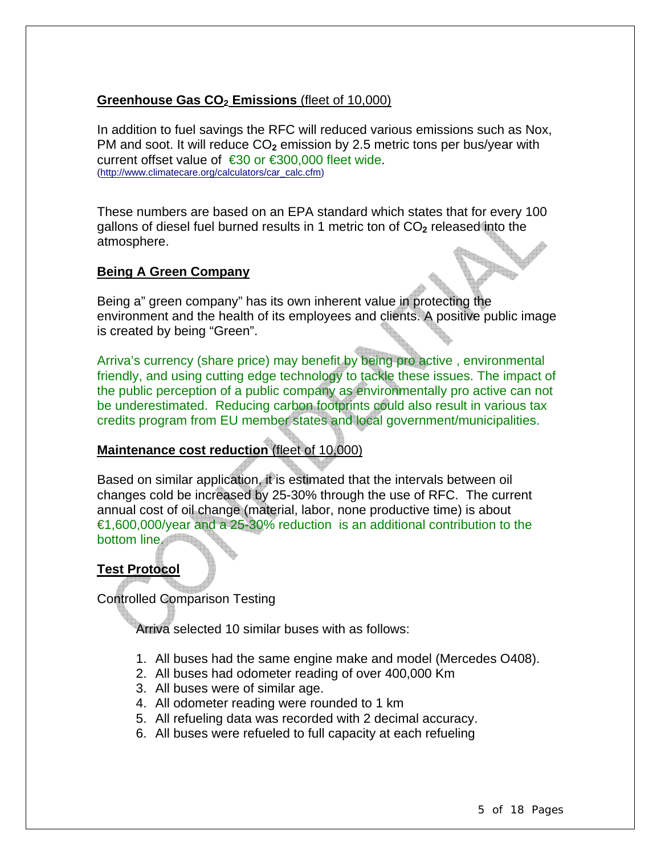#### **Greenhouse Gas CO<sub>2</sub> Emissions** (fleet of 10,000)

In addition to fuel savings the RFC will reduced various emissions such as Nox, PM and soot. It will reduce CO<sub>2</sub> emission by 2.5 metric tons per bus/year with current offset value of €30 or €300,000 fleet wide.<br>(http://www.climatecare.org/calculators/car\_calc.cfm)

These numbers are based on an EPA standard which states that for every 100 gallons of diesel fuel burned results in 1 metric ton of CO**2** released into the atmosphere.

#### **Being A Green Company**

Being a" green company" has its own inherent value in protecting the environment and the health of its employees and clients. A positive public image is created by being "Green".

Arriva's currency (share price) may benefit by being pro active , environmental friendly, and using cutting edge technology to tackle these issues. The impact of the public perception of a public company as environmentally pro active can not be underestimated. Reducing carbon footprints could also result in various tax credits program from EU member states and local government/municipalities.

#### **Maintenance cost reduction** (fleet of 10,000)

Based on similar application, it is estimated that the intervals between oil changes cold be increased by 25-30% through the use of RFC. The current annual cost of oil change (material, labor, none productive time) is about €1,600,000/year and a 25-30% reduction is an additional contribution to the bottom line.

#### **Test Protocol**

Controlled Comparison Testing

Arriva selected 10 similar buses with as follows:

- 1. All buses had the same engine make and model (Mercedes O408).
- 2. All buses had odometer reading of over 400,000 Km
- 3. All buses were of similar age.
- 4. All odometer reading were rounded to 1 km
- 5. All refueling data was recorded with 2 decimal accuracy.
- 6. All buses were refueled to full capacity at each refueling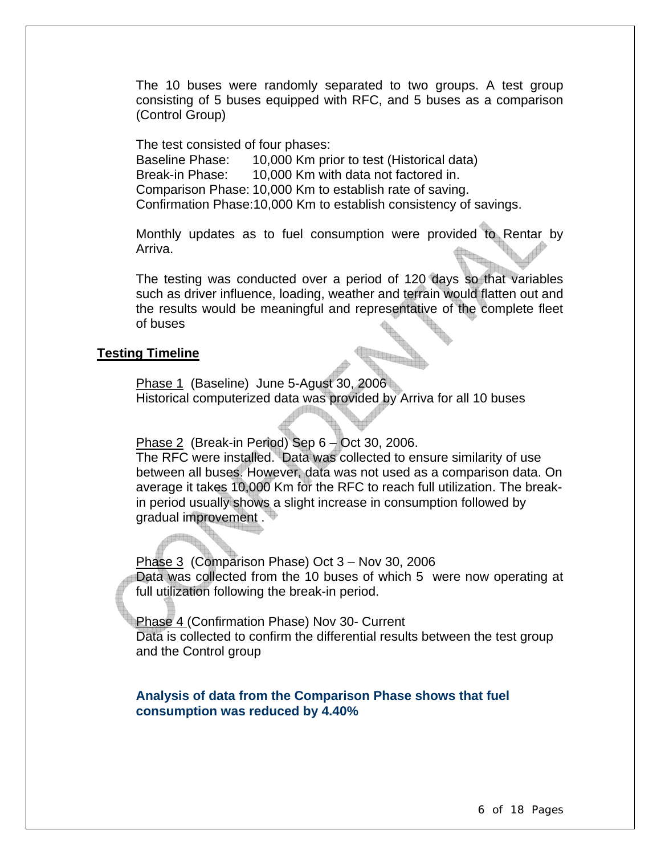The 10 buses were randomly separated to two groups. A test group consisting of 5 buses equipped with RFC, and 5 buses as a comparison (Control Group)

The test consisted of four phases:

Baseline Phase: 10,000 Km prior to test (Historical data) Break-in Phase: 10,000 Km with data not factored in. Comparison Phase: 10,000 Km to establish rate of saving. Confirmation Phase:10,000 Km to establish consistency of savings.

Monthly updates as to fuel consumption were provided to Rentar by Arriva.

The testing was conducted over a period of 120 days so that variables such as driver influence, loading, weather and terrain would flatten out and the results would be meaningful and representative of the complete fleet of buses

#### **Testing Timeline**

i<br>B

Phase 1 (Baseline) June 5-Agust 30, 2006 Historical computerized data was provided by Arriva for all 10 buses

Phase 2 (Break-in Period) Sep 6 - Oct 30, 2006. The RFC were installed. Data was collected to ensure similarity of use between all buses. However, data was not used as a comparison data. On average it takes 10,000 Km for the RFC to reach full utilization. The breakin period usually shows a slight increase in consumption followed by gradual improvement .

 Phase 3 (Comparison Phase) Oct 3 – Nov 30, 2006 Data was collected from the 10 buses of which 5 were now operating at full utilization following the break-in period.

Phase 4 (Confirmation Phase) Nov 30- Current

Data is collected to confirm the differential results between the test group and the Control group

**Analysis of data from the Comparison Phase shows that fuel consumption was reduced by 4.40%**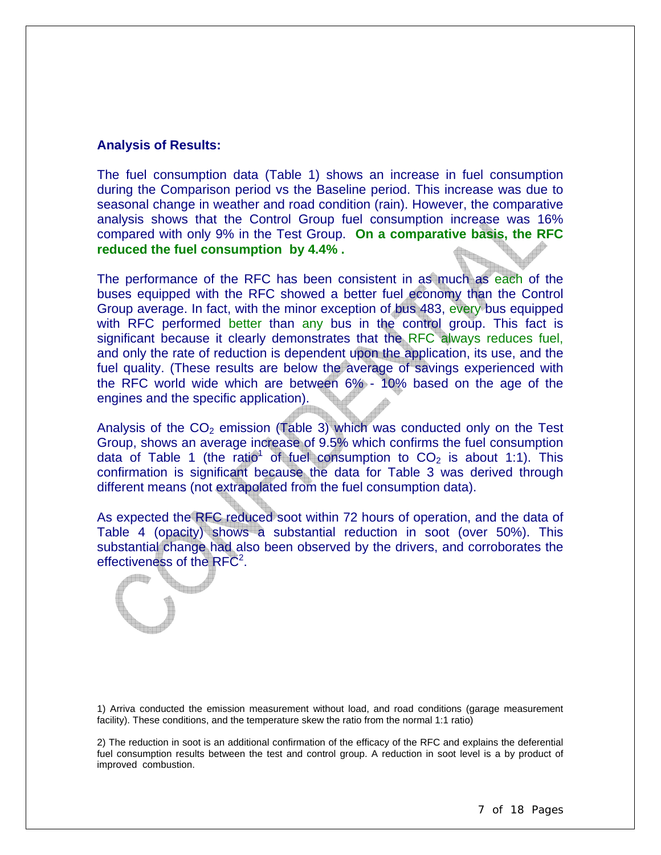#### **Analysis of Results:**

The fuel consumption data (Table 1) shows an increase in fuel consumption during the Comparison period vs the Baseline period. This increase was due to seasonal change in weather and road condition (rain). However, the comparative analysis shows that the Control Group fuel consumption increase was 16% compared with only 9% in the Test Group. **On a comparative basis, the RFC reduced the fuel consumption by 4.4% .** 

The performance of the RFC has been consistent in as much as each of the buses equipped with the RFC showed a better fuel economy than the Control Group average. In fact, with the minor exception of bus 483, every bus equipped with RFC performed better than any bus in the control group. This fact is significant because it clearly demonstrates that the RFC always reduces fuel, and only the rate of reduction is dependent upon the application, its use, and the fuel quality. (These results are below the average of savings experienced with the RFC world wide which are between 6% - 10% based on the age of the engines and the specific application).

Analysis of the  $CO<sub>2</sub>$  emission (Table 3) which was conducted only on the Test Group, shows an average increase of 9.5% which confirms the fuel consumption data of Table 1 (the ratio<sup>1</sup> of fuel consumption to  $CO<sub>2</sub>$  is about 1:1). This confirmation is significant because the data for Table 3 was derived through different means (not extrapolated from the fuel consumption data).

As expected the RFC reduced soot within 72 hours of operation, and the data of Table 4 (opacity) shows a substantial reduction in soot (over 50%). This substantial change had also been observed by the drivers, and corroborates the effectiveness of the  $RFC<sup>2</sup>$ .



1) Arriva conducted the emission measurement without load, and road conditions (garage measurement facility). These conditions, and the temperature skew the ratio from the normal 1:1 ratio)

2) The reduction in soot is an additional confirmation of the efficacy of the RFC and explains the deferential fuel consumption results between the test and control group. A reduction in soot level is a by product of improved combustion.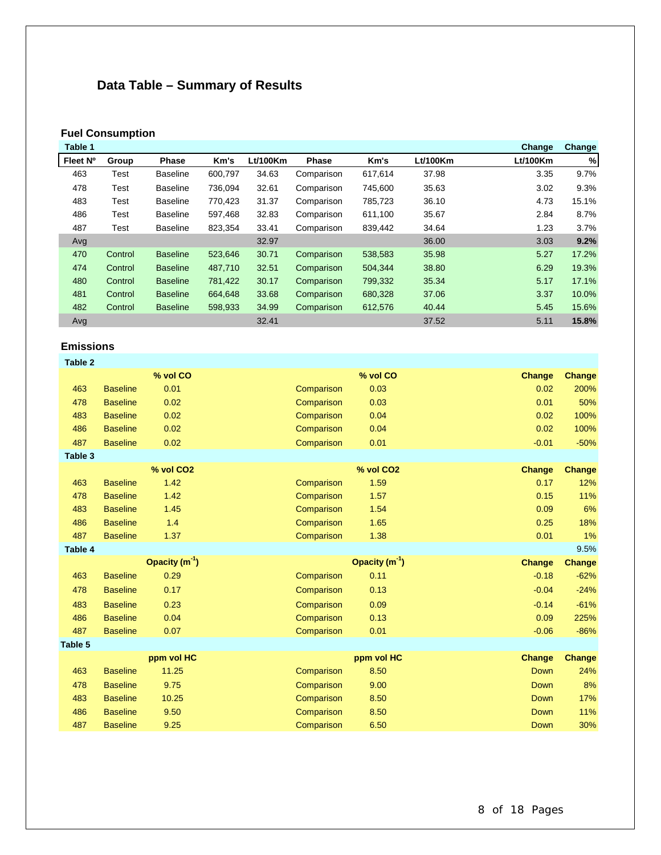## **Data Table – Summary of Results**

#### **Fuel Consumption**

| Table 1  |         |                 |         |          |              |         |          | Change   | Change |
|----------|---------|-----------------|---------|----------|--------------|---------|----------|----------|--------|
| Fleet Nº | Group   | <b>Phase</b>    | Km's    | Lt/100Km | <b>Phase</b> | Km's    | Lt/100Km | Lt/100Km | %      |
| 463      | Test    | <b>Baseline</b> | 600,797 | 34.63    | Comparison   | 617,614 | 37.98    | 3.35     | 9.7%   |
| 478      | Test    | <b>Baseline</b> | 736,094 | 32.61    | Comparison   | 745,600 | 35.63    | 3.02     | 9.3%   |
| 483      | Test    | <b>Baseline</b> | 770,423 | 31.37    | Comparison   | 785,723 | 36.10    | 4.73     | 15.1%  |
| 486      | Test    | <b>Baseline</b> | 597,468 | 32.83    | Comparison   | 611,100 | 35.67    | 2.84     | 8.7%   |
| 487      | Test    | <b>Baseline</b> | 823,354 | 33.41    | Comparison   | 839,442 | 34.64    | 1.23     | 3.7%   |
| Avg      |         |                 |         | 32.97    |              |         | 36.00    | 3.03     | 9.2%   |
| 470      | Control | <b>Baseline</b> | 523,646 | 30.71    | Comparison   | 538,583 | 35.98    | 5.27     | 17.2%  |
| 474      | Control | <b>Baseline</b> | 487,710 | 32.51    | Comparison   | 504,344 | 38.80    | 6.29     | 19.3%  |
| 480      | Control | <b>Baseline</b> | 781,422 | 30.17    | Comparison   | 799,332 | 35.34    | 5.17     | 17.1%  |
| 481      | Control | <b>Baseline</b> | 664,648 | 33.68    | Comparison   | 680,328 | 37.06    | 3.37     | 10.0%  |
| 482      | Control | <b>Baseline</b> | 598,933 | 34.99    | Comparison   | 612,576 | 40.44    | 5.45     | 15.6%  |
| Avg      |         |                 |         | 32.41    |              |         | 37.52    | 5.11     | 15.8%  |

#### **Emissions**

| Table 2 |                 |                       |            |                       |               |               |
|---------|-----------------|-----------------------|------------|-----------------------|---------------|---------------|
|         |                 | % vol CO              |            | % vol CO              | <b>Change</b> | <b>Change</b> |
| 463     | <b>Baseline</b> | 0.01                  | Comparison | 0.03                  | 0.02          | 200%          |
| 478     | <b>Baseline</b> | 0.02                  | Comparison | 0.03                  | 0.01          | 50%           |
| 483     | <b>Baseline</b> | 0.02                  | Comparison | 0.04                  | 0.02          | 100%          |
| 486     | <b>Baseline</b> | 0.02                  | Comparison | 0.04                  | 0.02          | 100%          |
| 487     | <b>Baseline</b> | 0.02                  | Comparison | 0.01                  | $-0.01$       | $-50%$        |
| Table 3 |                 |                       |            |                       |               |               |
|         |                 | % vol CO <sub>2</sub> |            | % vol CO <sub>2</sub> | Change        | <b>Change</b> |
| 463     | <b>Baseline</b> | 1.42                  | Comparison | 1.59                  | 0.17          | 12%           |
| 478     | <b>Baseline</b> | 1.42                  | Comparison | 1.57                  | 0.15          | 11%           |
| 483     | <b>Baseline</b> | 1.45                  | Comparison | 1.54                  | 0.09          | 6%            |
| 486     | <b>Baseline</b> | 1.4                   | Comparison | 1.65                  | 0.25          | 18%           |
| 487     | <b>Baseline</b> | 1.37                  | Comparison | 1.38                  | 0.01          | 1%            |
| Table 4 |                 |                       |            |                       |               | 9.5%          |
|         |                 | Opacity $(m1)$        |            | Opacity $(m-1)$       | Change        | Change        |
| 463     | <b>Baseline</b> | 0.29                  | Comparison | 0.11                  | $-0.18$       | $-62%$        |
| 478     | <b>Baseline</b> | 0.17                  | Comparison | 0.13                  | $-0.04$       | $-24%$        |
| 483     | <b>Baseline</b> | 0.23                  | Comparison | 0.09                  | $-0.14$       | $-61%$        |
| 486     | <b>Baseline</b> | 0.04                  | Comparison | 0.13                  | 0.09          | 225%          |
| 487     | <b>Baseline</b> | 0.07                  | Comparison | 0.01                  | $-0.06$       | $-86%$        |
| Table 5 |                 |                       |            |                       |               |               |
|         |                 | ppm vol HC            |            | ppm vol HC            | Change        | Change        |
| 463     | <b>Baseline</b> | 11.25                 | Comparison | 8.50                  | <b>Down</b>   | 24%           |
| 478     | <b>Baseline</b> | 9.75                  | Comparison | 9.00                  | <b>Down</b>   | 8%            |
| 483     | <b>Baseline</b> | 10.25                 | Comparison | 8.50                  | Down          | 17%           |
| 486     | <b>Baseline</b> | 9.50                  | Comparison | 8.50                  | <b>Down</b>   | 11%           |
| 487     | <b>Baseline</b> | 9.25                  | Comparison | 6.50                  | <b>Down</b>   | 30%           |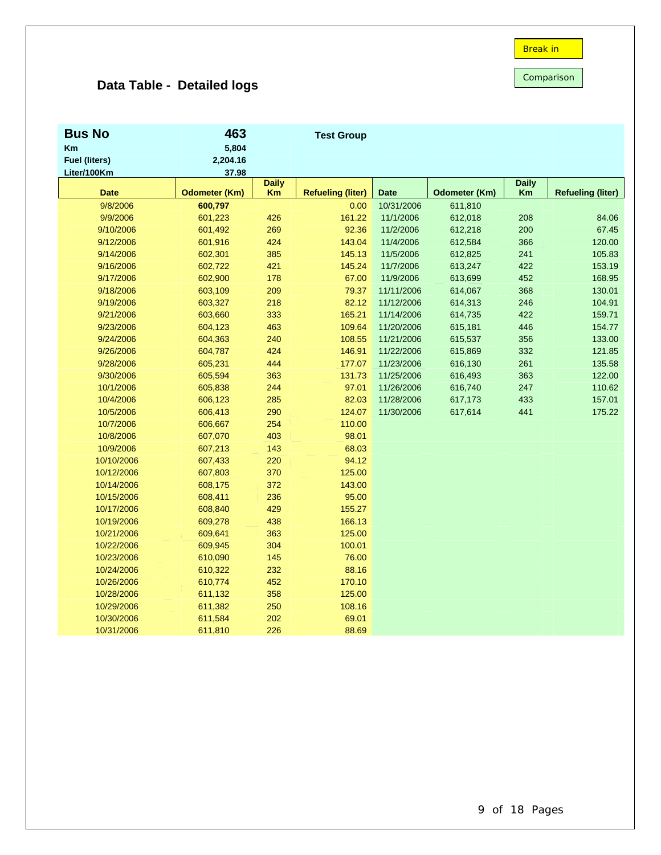Comparison

## **Data Table - Detailed logs**

| <b>Bus No</b>        | 463                  |                    | <b>Test Group</b>        |             |                      |                    |                          |
|----------------------|----------------------|--------------------|--------------------------|-------------|----------------------|--------------------|--------------------------|
| Km                   | 5,804                |                    |                          |             |                      |                    |                          |
| <b>Fuel (liters)</b> | 2,204.16             |                    |                          |             |                      |                    |                          |
| Liter/100Km          | 37.98                |                    |                          |             |                      |                    |                          |
| <b>Date</b>          | <b>Odometer (Km)</b> | <b>Daily</b><br>Km | <b>Refueling (liter)</b> | <b>Date</b> | <b>Odometer (Km)</b> | <b>Daily</b><br>Km | <b>Refueling (liter)</b> |
| 9/8/2006             | 600,797              |                    | 0.00                     | 10/31/2006  | 611,810              |                    |                          |
| 9/9/2006             | 601,223              | 426                | 161.22                   | 11/1/2006   | 612,018              | 208                | 84.06                    |
| 9/10/2006            | 601,492              | 269                | 92.36                    | 11/2/2006   | 612,218              | 200                | 67.45                    |
| 9/12/2006            | 601,916              | 424                | 143.04                   | 11/4/2006   | 612,584              | 366                | 120.00                   |
| 9/14/2006            | 602,301              | 385                | 145.13                   | 11/5/2006   | 612,825              | 241                | 105.83                   |
| 9/16/2006            | 602,722              | 421                | 145.24                   | 11/7/2006   | 613,247              | 422                | 153.19                   |
| 9/17/2006            | 602,900              | 178                | 67.00                    | 11/9/2006   | 613,699              | 452                | 168.95                   |
| 9/18/2006            | 603,109              | 209                | 79.37                    | 11/11/2006  | 614,067              | 368                | 130.01                   |
| 9/19/2006            | 603,327              | 218                | 82.12                    | 11/12/2006  | 614,313              | 246                | 104.91                   |
| 9/21/2006            | 603,660              | 333                | 165.21                   | 11/14/2006  | 614,735              | 422                | 159.71                   |
| 9/23/2006            | 604,123              | 463                | 109.64                   | 11/20/2006  | 615,181              | 446                | 154.77                   |
| 9/24/2006            | 604,363              | 240                | 108.55                   | 11/21/2006  | 615,537              | 356                | 133.00                   |
| 9/26/2006            | 604,787              | 424                | 146.91                   | 11/22/2006  | 615,869              | 332                | 121.85                   |
| 9/28/2006            | 605,231              | 444                | 177.07                   | 11/23/2006  | 616,130              | 261                | 135.58                   |
| 9/30/2006            | 605,594              | 363                | 131.73                   | 11/25/2006  | 616,493              | 363                | 122.00                   |
| 10/1/2006            | 605,838              | 244                | 97.01                    | 11/26/2006  | 616,740              | 247                | 110.62                   |
| 10/4/2006            | 606,123              | 285                | 82.03                    | 11/28/2006  | 617,173              | 433                | 157.01                   |
| 10/5/2006            | 606,413              | 290                | 124.07                   | 11/30/2006  | 617,614              | 441                | 175.22                   |
| 10/7/2006            | 606,667              | 254                | 110.00                   |             |                      |                    |                          |
| 10/8/2006            | 607,070              | 403                | 98.01                    |             |                      |                    |                          |
| 10/9/2006            | 607,213              | 143                | 68.03                    |             |                      |                    |                          |
| 10/10/2006           | 607,433              | 220                | 94.12                    |             |                      |                    |                          |
| 10/12/2006           | 607,803              | 370                | 125.00                   |             |                      |                    |                          |
| 10/14/2006           | 608,175              | 372                | 143.00                   |             |                      |                    |                          |
| 10/15/2006           | 608,411              | 236                | 95.00                    |             |                      |                    |                          |
| 10/17/2006           | 608,840              | 429                | 155.27                   |             |                      |                    |                          |
| 10/19/2006           | 609,278              | 438                | 166.13                   |             |                      |                    |                          |
| 10/21/2006           | 609,641              | 363                | 125.00                   |             |                      |                    |                          |
| 10/22/2006           | 609,945              | 304                | 100.01                   |             |                      |                    |                          |
| 10/23/2006           | 610,090              | 145                | 76.00                    |             |                      |                    |                          |
| 10/24/2006           | 610,322              | 232                | 88.16                    |             |                      |                    |                          |
| 10/26/2006           | 610,774              | 452                | 170.10                   |             |                      |                    |                          |
| 10/28/2006           | 611,132              | 358                | 125.00                   |             |                      |                    |                          |
| 10/29/2006           | 611,382              | 250                | 108.16                   |             |                      |                    |                          |
| 10/30/2006           | 611,584              | 202                | 69.01                    |             |                      |                    |                          |
| 10/31/2006           | 611,810              | 226                | 88.69                    |             |                      |                    |                          |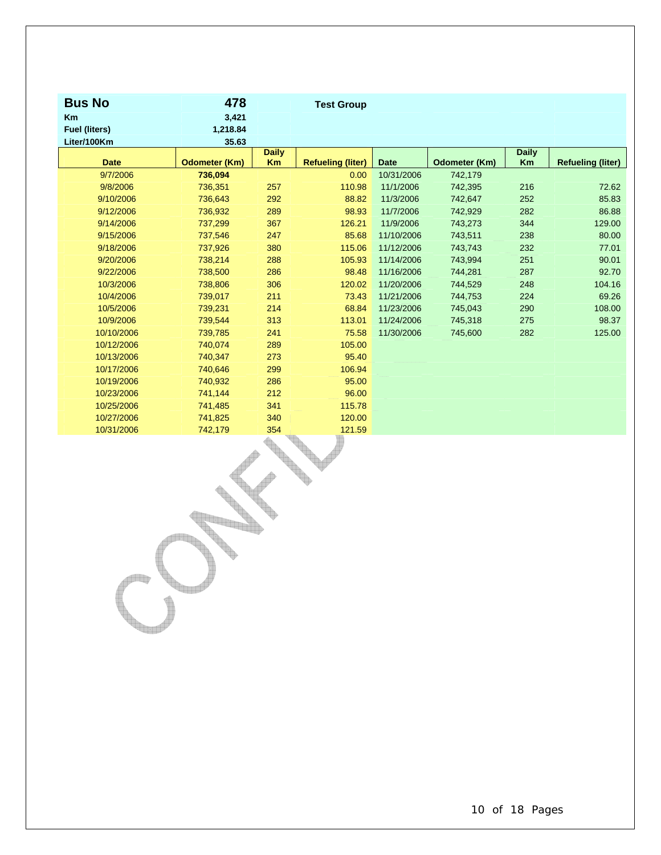| <b>Bus No</b>        | 478                  |                    | <b>Test Group</b>        |             |                      |                    |                          |
|----------------------|----------------------|--------------------|--------------------------|-------------|----------------------|--------------------|--------------------------|
| <b>Km</b>            | 3,421                |                    |                          |             |                      |                    |                          |
| <b>Fuel (liters)</b> | 1,218.84             |                    |                          |             |                      |                    |                          |
| Liter/100Km          | 35.63                |                    |                          |             |                      |                    |                          |
| <b>Date</b>          | <b>Odometer (Km)</b> | <b>Daily</b><br>Km | <b>Refueling (liter)</b> | <b>Date</b> | <b>Odometer (Km)</b> | <b>Daily</b><br>Km | <b>Refueling (liter)</b> |
| 9/7/2006             | 736,094              |                    | 0.00                     | 10/31/2006  | 742,179              |                    |                          |
| 9/8/2006             | 736,351              | 257                | 110.98                   | 11/1/2006   | 742,395              | 216                | 72.62                    |
| 9/10/2006            | 736,643              | 292                | 88.82                    | 11/3/2006   | 742,647              | 252                | 85.83                    |
| 9/12/2006            | 736,932              | 289                | 98.93                    | 11/7/2006   | 742,929              | 282                | 86.88                    |
| 9/14/2006            | 737,299              | 367                | 126.21                   | 11/9/2006   | 743,273              | 344                | 129.00                   |
| 9/15/2006            | 737,546              | 247                | 85.68                    | 11/10/2006  | 743,511              | 238                | 80.00                    |
| 9/18/2006            | 737,926              | 380                | 115.06                   | 11/12/2006  | 743,743              | 232                | 77.01                    |
| 9/20/2006            | 738,214              | 288                | 105.93                   | 11/14/2006  | 743,994              | 251                | 90.01                    |
| 9/22/2006            | 738,500              | 286                | 98.48                    | 11/16/2006  | 744,281              | 287                | 92.70                    |
| 10/3/2006            | 738,806              | 306                | 120.02                   | 11/20/2006  | 744,529              | 248                | 104.16                   |
| 10/4/2006            | 739,017              | 211                | 73.43                    | 11/21/2006  | 744,753              | 224                | 69.26                    |
| 10/5/2006            | 739,231              | 214                | 68.84                    | 11/23/2006  | 745,043              | 290                | 108.00                   |
| 10/9/2006            | 739,544              | 313                | 113.01                   | 11/24/2006  | 745,318              | 275                | 98.37                    |
| 10/10/2006           | 739,785              | 241                | 75.58                    | 11/30/2006  | 745,600              | 282                | 125.00                   |
| 10/12/2006           | 740,074              | 289                | 105.00                   |             |                      |                    |                          |
| 10/13/2006           | 740,347              | 273                | 95.40                    |             |                      |                    |                          |
| 10/17/2006           | 740,646              | 299                | 106.94                   |             |                      |                    |                          |
| 10/19/2006           | 740,932              | 286                | 95.00                    |             |                      |                    |                          |
| 10/23/2006           | 741,144              | 212                | 96.00                    |             |                      |                    |                          |
| 10/25/2006           | 741,485              | 341                | 115.78                   |             |                      |                    |                          |
| 10/27/2006           | 741,825              | 340                | 120.00                   |             |                      |                    |                          |
| 10/31/2006           | 742,179              | 354                | 121.59                   |             |                      |                    |                          |

 $\begin{picture}(180,10) \put(0,0){\line(1,0){10}} \put(10,0){\line(1,0){10}} \put(10,0){\line(1,0){10}} \put(10,0){\line(1,0){10}} \put(10,0){\line(1,0){10}} \put(10,0){\line(1,0){10}} \put(10,0){\line(1,0){10}} \put(10,0){\line(1,0){10}} \put(10,0){\line(1,0){10}} \put(10,0){\line(1,0){10}} \put(10,0){\line(1,0){10}} \put(10,0){\line($ 

a di B

**Registration** 

db

V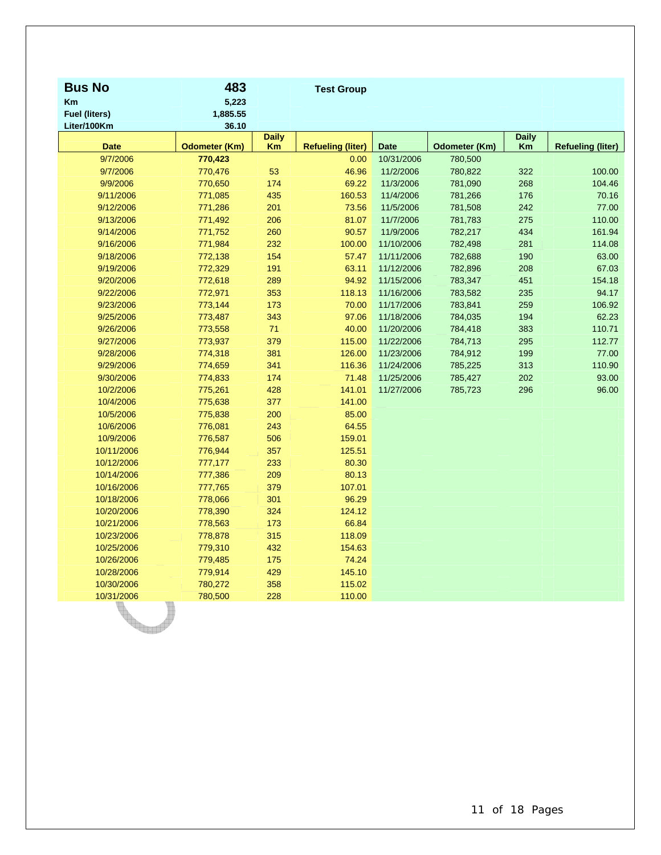| <b>Bus No</b>        | 483                  |                           | <b>Test Group</b>        |             |                      |                    |                          |
|----------------------|----------------------|---------------------------|--------------------------|-------------|----------------------|--------------------|--------------------------|
| <b>Km</b>            | 5,223                |                           |                          |             |                      |                    |                          |
| <b>Fuel (liters)</b> | 1,885.55             |                           |                          |             |                      |                    |                          |
| Liter/100Km          | 36.10                |                           |                          |             |                      |                    |                          |
| <b>Date</b>          | <b>Odometer (Km)</b> | <b>Daily</b><br><b>Km</b> | <b>Refueling (liter)</b> | <b>Date</b> | <b>Odometer (Km)</b> | <b>Daily</b><br>Km | <b>Refueling (liter)</b> |
| 9/7/2006             | 770,423              |                           | 0.00                     | 10/31/2006  | 780,500              |                    |                          |
| 9/7/2006             | 770,476              | 53                        | 46.96                    | 11/2/2006   | 780,822              | 322                | 100.00                   |
| 9/9/2006             | 770,650              | 174                       | 69.22                    | 11/3/2006   | 781,090              | 268                | 104.46                   |
| 9/11/2006            | 771,085              | 435                       | 160.53                   | 11/4/2006   | 781,266              | 176                | 70.16                    |
| 9/12/2006            | 771,286              | 201                       | 73.56                    | 11/5/2006   | 781,508              | 242                | 77.00                    |
| 9/13/2006            | 771,492              | 206                       | 81.07                    | 11/7/2006   | 781,783              | 275                | 110.00                   |
| 9/14/2006            | 771,752              | 260                       | 90.57                    | 11/9/2006   | 782,217              | 434                | 161.94                   |
| 9/16/2006            | 771,984              | 232                       | 100.00                   | 11/10/2006  | 782,498              | 281                | 114.08                   |
| 9/18/2006            | 772,138              | 154                       | 57.47                    | 11/11/2006  | 782,688              | 190                | 63.00                    |
| 9/19/2006            | 772,329              | 191                       | 63.11                    | 11/12/2006  | 782,896              | 208                | 67.03                    |
| 9/20/2006            | 772,618              | 289                       | 94.92                    | 11/15/2006  | 783,347              | 451                | 154.18                   |
| 9/22/2006            | 772,971              | 353                       | 118.13                   | 11/16/2006  | 783,582              | 235                | 94.17                    |
| 9/23/2006            | 773,144              | 173                       | 70.00                    | 11/17/2006  | 783,841              | 259                | 106.92                   |
| 9/25/2006            | 773,487              | 343                       | 97.06                    | 11/18/2006  | 784,035              | 194                | 62.23                    |
| 9/26/2006            | 773,558              | 71                        | 40.00                    | 11/20/2006  | 784,418              | 383                | 110.71                   |
| 9/27/2006            | 773,937              | 379                       | 115.00                   | 11/22/2006  | 784,713              | 295                | 112.77                   |
| 9/28/2006            | 774,318              | 381                       | 126.00                   | 11/23/2006  | 784,912              | 199                | 77.00                    |
| 9/29/2006            | 774,659              | 341                       | 116.36                   | 11/24/2006  | 785,225              | 313                | 110.90                   |
| 9/30/2006            | 774,833              | 174                       | 71.48                    | 11/25/2006  | 785,427              | 202                | 93.00                    |
| 10/2/2006            | 775,261              | 428                       | 141.01                   | 11/27/2006  | 785,723              | 296                | 96.00                    |
| 10/4/2006            | 775,638              | 377                       | 141.00                   |             |                      |                    |                          |
| 10/5/2006            | 775,838              | 200                       | 85.00                    |             |                      |                    |                          |
| 10/6/2006            | 776,081              | 243                       | 64.55                    |             |                      |                    |                          |
| 10/9/2006            | 776,587              | 506                       | 159.01                   |             |                      |                    |                          |
| 10/11/2006           | 776,944              | 357                       | 125.51                   |             |                      |                    |                          |
| 10/12/2006           | 777,177              | 233                       | 80.30                    |             |                      |                    |                          |
| 10/14/2006           | 777,386              | 209                       | 80.13                    |             |                      |                    |                          |
| 10/16/2006           | 777,765              | 379                       | 107.01                   |             |                      |                    |                          |
| 10/18/2006           | 778,066              | 301                       | 96.29                    |             |                      |                    |                          |
| 10/20/2006           | 778,390              | 324                       | 124.12                   |             |                      |                    |                          |
| 10/21/2006           | 778,563              | 173                       | 66.84                    |             |                      |                    |                          |
| 10/23/2006           | 778,878              | 315                       | 118.09                   |             |                      |                    |                          |
| 10/25/2006           | 779,310              | 432                       | 154.63                   |             |                      |                    |                          |
| 10/26/2006           | 779,485              | 175                       | 74.24                    |             |                      |                    |                          |
| 10/28/2006           | 779,914              | 429                       | 145.10                   |             |                      |                    |                          |
| 10/30/2006           | 780,272              | 358                       | 115.02                   |             |                      |                    |                          |
| 10/31/2006           | 780,500              | 228                       | 110.00                   |             |                      |                    |                          |
|                      |                      |                           |                          |             |                      |                    |                          |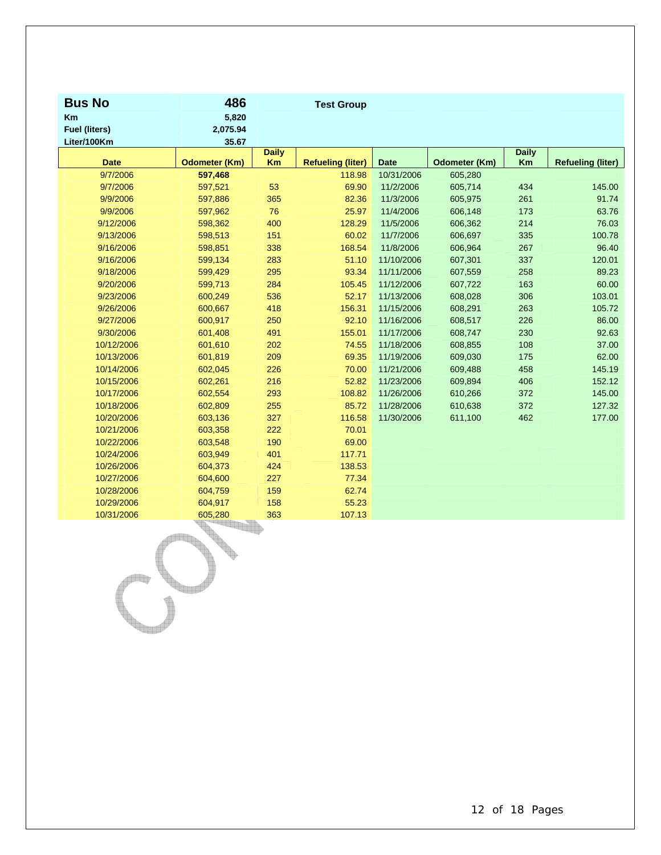| <b>Bus No</b><br>Km          | 486<br>5,820         |              | <b>Test Group</b>        |             |               |              |                          |
|------------------------------|----------------------|--------------|--------------------------|-------------|---------------|--------------|--------------------------|
| Fuel (liters)<br>Liter/100Km | 2,075.94<br>35.67    |              |                          |             |               |              |                          |
|                              |                      | <b>Daily</b> |                          |             |               | <b>Daily</b> |                          |
| <b>Date</b>                  | <b>Odometer (Km)</b> | <b>Km</b>    | <b>Refueling (liter)</b> | <b>Date</b> | Odometer (Km) | Km           | <b>Refueling (liter)</b> |
| 9/7/2006                     | 597,468              |              | 118.98                   | 10/31/2006  | 605,280       |              |                          |
| 9/7/2006                     | 597,521              | 53           | 69.90                    | 11/2/2006   | 605,714       | 434          | 145.00                   |
| 9/9/2006                     | 597,886              | 365          | 82.36                    | 11/3/2006   | 605,975       | 261          | 91.74                    |
| 9/9/2006                     | 597,962              | 76           | 25.97                    | 11/4/2006   | 606,148       | 173          | 63.76                    |
| 9/12/2006                    | 598,362              | 400          | 128.29                   | 11/5/2006   | 606,362       | 214          | 76.03                    |
| 9/13/2006                    | 598,513              | 151          | 60.02                    | 11/7/2006   | 606,697       | 335          | 100.78                   |
| 9/16/2006                    | 598,851              | 338          | 168.54                   | 11/8/2006   | 606,964       | 267          | 96.40                    |
| 9/16/2006                    | 599,134              | 283          | 51.10                    | 11/10/2006  | 607,301       | 337          | 120.01                   |
| 9/18/2006                    | 599,429              | 295          | 93.34                    | 11/11/2006  | 607,559       | 258          | 89.23                    |
| 9/20/2006                    | 599,713              | 284          | 105.45                   | 11/12/2006  | 607,722       | 163          | 60.00                    |
| 9/23/2006                    | 600,249              | 536          | 52.17                    | 11/13/2006  | 608,028       | 306          | 103.01                   |
| 9/26/2006                    | 600,667              | 418          | 156.31                   | 11/15/2006  | 608,291       | 263          | 105.72                   |
| 9/27/2006                    | 600,917              | 250          | 92.10                    | 11/16/2006  | 608,517       | 226          | 86.00                    |
| 9/30/2006                    | 601,408              | 491          | 155.01                   | 11/17/2006  | 608,747       | 230          | 92.63                    |
| 10/12/2006                   | 601,610              | 202          | 74.55                    | 11/18/2006  | 608,855       | 108          | 37.00                    |
| 10/13/2006                   | 601,819              | 209          | 69.35                    | 11/19/2006  | 609,030       | 175          | 62.00                    |
| 10/14/2006                   | 602,045              | 226          | 70.00                    | 11/21/2006  | 609,488       | 458          | 145.19                   |
| 10/15/2006                   | 602,261              | 216          | 52.82                    | 11/23/2006  | 609,894       | 406          | 152.12                   |
| 10/17/2006                   | 602,554              | 293          | 108.82                   | 11/26/2006  | 610,266       | 372          | 145.00                   |
| 10/18/2006                   | 602,809              | 255          | 85.72                    | 11/28/2006  | 610,638       | 372          | 127.32                   |
| 10/20/2006                   | 603,136              | 327          | 116.58                   | 11/30/2006  | 611,100       | 462          | 177.00                   |
| 10/21/2006                   | 603,358              | 222          | 70.01                    |             |               |              |                          |
| 10/22/2006                   | 603,548              | 190          | 69.00                    |             |               |              |                          |
| 10/24/2006                   | 603,949              | 401          | 117.71                   |             |               |              |                          |
| 10/26/2006                   | 604,373              | 424          | 138.53                   |             |               |              |                          |
| 10/27/2006                   | 604,600              | 227          | 77.34                    |             |               |              |                          |
| 10/28/2006                   | 604,759              | 159          | 62.74                    |             |               |              |                          |
| 10/29/2006                   | 604,917              | 158          | 55.23                    |             |               |              |                          |
| 10/31/2006                   | 605,280              | 363          | 107.13                   |             |               |              |                          |

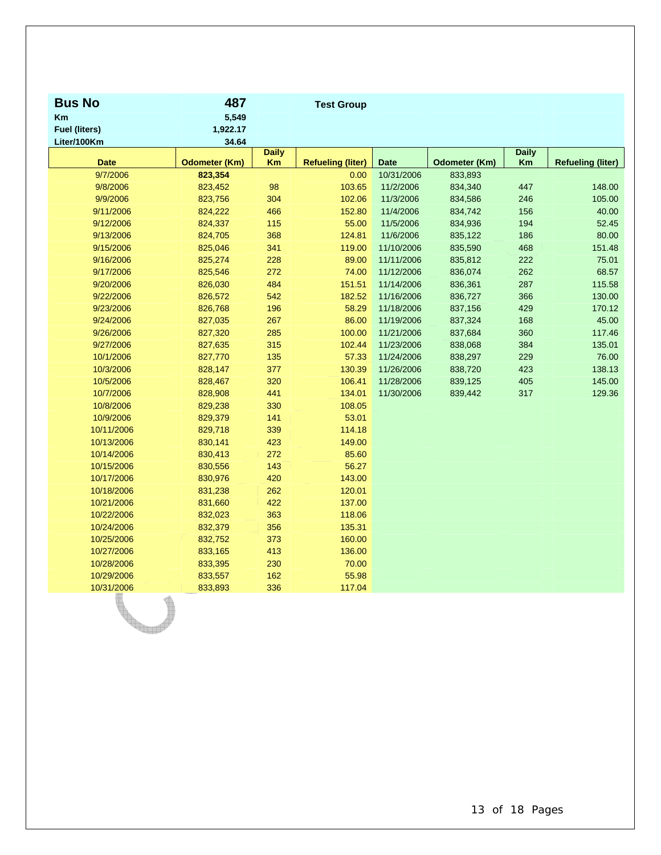| <b>Bus No</b>        | 487                  |                    | <b>Test Group</b>        |             |               |                    |                          |
|----------------------|----------------------|--------------------|--------------------------|-------------|---------------|--------------------|--------------------------|
| Km                   | 5,549                |                    |                          |             |               |                    |                          |
| <b>Fuel (liters)</b> | 1,922.17             |                    |                          |             |               |                    |                          |
| Liter/100Km          | 34.64                |                    |                          |             |               |                    |                          |
| <b>Date</b>          | <b>Odometer (Km)</b> | <b>Daily</b><br>Km | <b>Refueling (liter)</b> | <b>Date</b> | Odometer (Km) | <b>Daily</b><br>Km | <b>Refueling (liter)</b> |
| 9/7/2006             | 823,354              |                    | 0.00                     | 10/31/2006  | 833,893       |                    |                          |
| 9/8/2006             | 823,452              | 98                 | 103.65                   | 11/2/2006   | 834,340       | 447                | 148.00                   |
| 9/9/2006             | 823,756              | 304                | 102.06                   | 11/3/2006   | 834,586       | 246                | 105.00                   |
| 9/11/2006            | 824,222              | 466                | 152.80                   | 11/4/2006   | 834,742       | 156                | 40.00                    |
| 9/12/2006            | 824,337              | 115                | 55.00                    | 11/5/2006   | 834,936       | 194                | 52.45                    |
| 9/13/2006            | 824,705              | 368                | 124.81                   | 11/6/2006   | 835,122       | 186                | 80.00                    |
| 9/15/2006            | 825,046              | 341                | 119.00                   | 11/10/2006  | 835,590       | 468                | 151.48                   |
| 9/16/2006            | 825,274              | 228                | 89.00                    | 11/11/2006  | 835,812       | 222                | 75.01                    |
| 9/17/2006            | 825,546              | 272                | 74.00                    | 11/12/2006  | 836,074       | 262                | 68.57                    |
| 9/20/2006            | 826,030              | 484                | 151.51                   | 11/14/2006  | 836,361       | 287                | 115.58                   |
| 9/22/2006            | 826,572              | 542                | 182.52                   | 11/16/2006  | 836,727       | 366                | 130.00                   |
| 9/23/2006            | 826,768              | 196                | 58.29                    | 11/18/2006  | 837,156       | 429                | 170.12                   |
| 9/24/2006            | 827,035              | 267                | 86.00                    | 11/19/2006  | 837,324       | 168                | 45.00                    |
| 9/26/2006            | 827,320              | 285                | 100.00                   | 11/21/2006  | 837,684       | 360                | 117.46                   |
| 9/27/2006            | 827,635              | 315                | 102.44                   | 11/23/2006  | 838,068       | 384                | 135.01                   |
| 10/1/2006            | 827,770              | 135                | 57.33                    | 11/24/2006  | 838,297       | 229                | 76.00                    |
| 10/3/2006            | 828,147              | 377                | 130.39                   | 11/26/2006  | 838,720       | 423                | 138.13                   |
| 10/5/2006            | 828,467              | 320                | 106.41                   | 11/28/2006  | 839,125       | 405                | 145.00                   |
| 10/7/2006            | 828,908              | 441                | 134.01                   | 11/30/2006  | 839,442       | 317                | 129.36                   |
| 10/8/2006            | 829,238              | 330                | 108.05                   |             |               |                    |                          |
| 10/9/2006            | 829,379              | 141                | 53.01                    |             |               |                    |                          |
| 10/11/2006           | 829,718              | 339                | 114.18                   |             |               |                    |                          |
| 10/13/2006           | 830,141              | 423                | 149.00                   |             |               |                    |                          |
| 10/14/2006           | 830,413              | 272                | 85.60                    |             |               |                    |                          |
| 10/15/2006           | 830,556              | 143                | 56.27                    |             |               |                    |                          |
| 10/17/2006           | 830,976              | 420                | 143.00                   |             |               |                    |                          |
| 10/18/2006           | 831,238              | 262                | 120.01                   |             |               |                    |                          |
| 10/21/2006           | 831,660              | 422                | 137.00                   |             |               |                    |                          |
| 10/22/2006           | 832,023              | 363                | 118.06                   |             |               |                    |                          |
| 10/24/2006           | 832,379              | 356                | 135.31                   |             |               |                    |                          |
| 10/25/2006           | 832,752              | 373                | 160.00                   |             |               |                    |                          |
| 10/27/2006           | 833,165              | 413                | 136.00                   |             |               |                    |                          |
| 10/28/2006           | 833,395              | 230                | 70.00                    |             |               |                    |                          |
| 10/29/2006           | 833,557              | 162                | 55.98                    |             |               |                    |                          |
| 10/31/2006           | 833,893              | 336                | 117.04                   |             |               |                    |                          |
|                      |                      |                    |                          |             |               |                    |                          |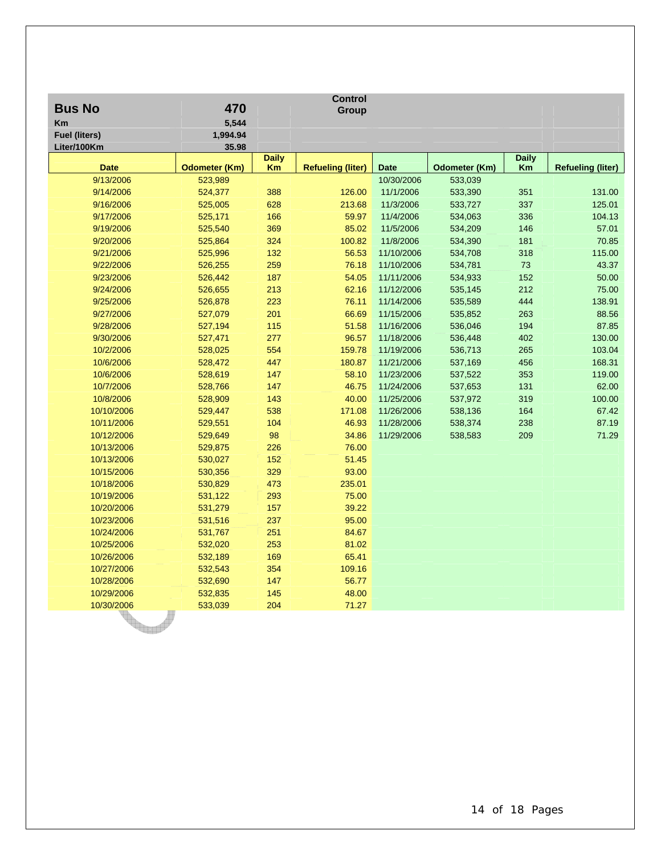| <b>Bus No</b>        | 470                  |              | <b>Control</b><br>Group  |             |                      |              |                          |
|----------------------|----------------------|--------------|--------------------------|-------------|----------------------|--------------|--------------------------|
| Km                   | 5,544                |              |                          |             |                      |              |                          |
| <b>Fuel (liters)</b> | 1,994.94             |              |                          |             |                      |              |                          |
| Liter/100Km          | 35.98                |              |                          |             |                      |              |                          |
|                      |                      | <b>Daily</b> |                          |             |                      | <b>Daily</b> |                          |
| <b>Date</b>          | <b>Odometer (Km)</b> | Km           | <b>Refueling (liter)</b> | <b>Date</b> | <b>Odometer (Km)</b> | Km           | <b>Refueling (liter)</b> |
| 9/13/2006            | 523,989              |              |                          | 10/30/2006  | 533,039              |              |                          |
| 9/14/2006            | 524,377              | 388          | 126.00                   | 11/1/2006   | 533,390              | 351          | 131.00                   |
| 9/16/2006            | 525,005              | 628          | 213.68                   | 11/3/2006   | 533,727              | 337          | 125.01                   |
| 9/17/2006            | 525,171              | 166          | 59.97                    | 11/4/2006   | 534,063              | 336          | 104.13                   |
| 9/19/2006            | 525,540              | 369          | 85.02                    | 11/5/2006   | 534,209              | 146          | 57.01                    |
| 9/20/2006            | 525,864              | 324          | 100.82                   | 11/8/2006   | 534,390              | 181          | 70.85                    |
| 9/21/2006            | 525,996              | 132          | 56.53                    | 11/10/2006  | 534,708              | 318          | 115.00                   |
| 9/22/2006            | 526,255              | 259          | 76.18                    | 11/10/2006  | 534,781              | 73           | 43.37                    |
| 9/23/2006            | 526,442              | 187          | 54.05                    | 11/11/2006  | 534,933              | 152          | 50.00                    |
| 9/24/2006            | 526,655              | 213          | 62.16                    | 11/12/2006  | 535,145              | 212          | 75.00                    |
| 9/25/2006            | 526,878              | 223          | 76.11                    | 11/14/2006  | 535,589              | 444          | 138.91                   |
| 9/27/2006            | 527,079              | 201          | 66.69                    | 11/15/2006  | 535,852              | 263          | 88.56                    |
| 9/28/2006            | 527,194              | 115          | 51.58                    | 11/16/2006  | 536,046              | 194          | 87.85                    |
| 9/30/2006            | 527,471              | 277          | 96.57                    | 11/18/2006  | 536,448              | 402          | 130.00                   |
| 10/2/2006            | 528,025              | 554          | 159.78                   | 11/19/2006  | 536,713              | 265          | 103.04                   |
| 10/6/2006            | 528,472              | 447          | 180.87                   | 11/21/2006  | 537,169              | 456          | 168.31                   |
| 10/6/2006            | 528,619              | 147          | 58.10                    | 11/23/2006  | 537,522              | 353          | 119.00                   |
| 10/7/2006            | 528,766              | 147          | 46.75                    | 11/24/2006  | 537,653              | 131          | 62.00                    |
| 10/8/2006            | 528,909              | 143          | 40.00                    | 11/25/2006  | 537,972              | 319          | 100.00                   |
| 10/10/2006           | 529,447              | 538          | 171.08                   | 11/26/2006  | 538,136              | 164          | 67.42                    |
| 10/11/2006           | 529,551              | 104          | 46.93                    | 11/28/2006  | 538,374              | 238          | 87.19                    |
| 10/12/2006           | 529,649              | 98           | 34.86                    | 11/29/2006  | 538,583              | 209          | 71.29                    |
| 10/13/2006           | 529,875              | 226          | 76.00                    |             |                      |              |                          |
| 10/13/2006           | 530,027              | 152          | 51.45                    |             |                      |              |                          |
| 10/15/2006           | 530,356              | 329          | 93.00                    |             |                      |              |                          |
| 10/18/2006           | 530,829              | 473          | 235.01                   |             |                      |              |                          |
| 10/19/2006           | 531,122              | 293          | 75.00                    |             |                      |              |                          |
| 10/20/2006           | 531,279              | 157          | 39.22                    |             |                      |              |                          |
| 10/23/2006           | 531,516              | 237          | 95.00                    |             |                      |              |                          |
| 10/24/2006           | 531,767              | 251          | 84.67                    |             |                      |              |                          |
| 10/25/2006           | 532,020              | 253          | 81.02                    |             |                      |              |                          |
| 10/26/2006           | 532,189              | 169          | 65.41                    |             |                      |              |                          |
| 10/27/2006           | 532,543              | 354          | 109.16                   |             |                      |              |                          |
| 10/28/2006           | 532,690              | 147          | 56.77                    |             |                      |              |                          |
| 10/29/2006           | 532,835              | 145          | 48.00                    |             |                      |              |                          |
| 10/30/2006           | 533,039              | 204          | 71.27                    |             |                      |              |                          |

14 of 18 Pages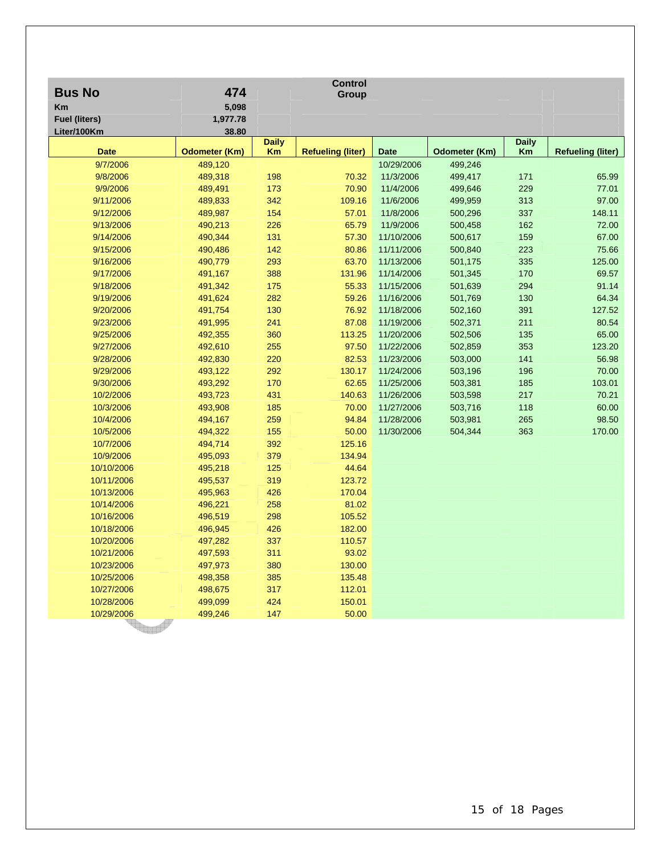| <b>Bus No</b>        | 474                  |              | <b>Control</b><br>Group  |             |               |              |                          |
|----------------------|----------------------|--------------|--------------------------|-------------|---------------|--------------|--------------------------|
| Km                   | 5,098                |              |                          |             |               |              |                          |
| <b>Fuel (liters)</b> | 1,977.78             |              |                          |             |               |              |                          |
| Liter/100Km          | 38.80                |              |                          |             |               |              |                          |
|                      |                      | <b>Daily</b> |                          |             |               | <b>Daily</b> |                          |
| <b>Date</b>          | <b>Odometer (Km)</b> | Km           | <b>Refueling (liter)</b> | <b>Date</b> | Odometer (Km) | Km           | <b>Refueling (liter)</b> |
| 9/7/2006             | 489,120              |              |                          | 10/29/2006  | 499,246       |              |                          |
| 9/8/2006             | 489,318              | 198          | 70.32                    | 11/3/2006   | 499,417       | 171          | 65.99                    |
| 9/9/2006             | 489,491              | 173          | 70.90                    | 11/4/2006   | 499,646       | 229          | 77.01                    |
| 9/11/2006            | 489,833              | 342          | 109.16                   | 11/6/2006   | 499,959       | 313          | 97.00                    |
| 9/12/2006            | 489,987              | 154          | 57.01                    | 11/8/2006   | 500,296       | 337          | 148.11                   |
| 9/13/2006            | 490,213              | 226          | 65.79                    | 11/9/2006   | 500,458       | 162          | 72.00                    |
| 9/14/2006            | 490,344              | 131          | 57.30                    | 11/10/2006  | 500,617       | 159          | 67.00                    |
| 9/15/2006            | 490,486              | 142          | 80.86                    | 11/11/2006  | 500,840       | 223          | 75.66                    |
| 9/16/2006            | 490,779              | 293          | 63.70                    | 11/13/2006  | 501,175       | 335          | 125.00                   |
| 9/17/2006            | 491,167              | 388          | 131.96                   | 11/14/2006  | 501,345       | 170          | 69.57                    |
| 9/18/2006            | 491,342              | 175          | 55.33                    | 11/15/2006  | 501,639       | 294          | 91.14                    |
| 9/19/2006            | 491,624              | 282          | 59.26                    | 11/16/2006  | 501,769       | 130          | 64.34                    |
| 9/20/2006            | 491,754              | 130          | 76.92                    | 11/18/2006  | 502,160       | 391          | 127.52                   |
| 9/23/2006            | 491,995              | 241          | 87.08                    | 11/19/2006  | 502,371       | 211          | 80.54                    |
| 9/25/2006            | 492,355              | 360          | 113.25                   | 11/20/2006  | 502,506       | 135          | 65.00                    |
| 9/27/2006            | 492,610              | 255          | 97.50                    | 11/22/2006  | 502,859       | 353          | 123.20                   |
| 9/28/2006            | 492,830              | 220          | 82.53                    | 11/23/2006  | 503,000       | 141          | 56.98                    |
| 9/29/2006            | 493,122              | 292          | 130.17                   | 11/24/2006  | 503,196       | 196          | 70.00                    |
| 9/30/2006            | 493,292              | 170          | 62.65                    | 11/25/2006  | 503,381       | 185          | 103.01                   |
| 10/2/2006            | 493,723              | 431          | 140.63                   | 11/26/2006  | 503,598       | 217          | 70.21                    |
| 10/3/2006            | 493,908              | 185          | 70.00                    | 11/27/2006  | 503,716       | 118          | 60.00                    |
| 10/4/2006            | 494,167              | 259          | 94.84                    | 11/28/2006  | 503,981       | 265          | 98.50                    |
| 10/5/2006            | 494,322              | 155          | 50.00                    | 11/30/2006  | 504,344       | 363          | 170.00                   |
| 10/7/2006            | 494,714              | 392          | 125.16                   |             |               |              |                          |
| 10/9/2006            | 495,093              | 379          | 134.94                   |             |               |              |                          |
| 10/10/2006           | 495,218              | 125          | 44.64                    |             |               |              |                          |
| 10/11/2006           | 495,537              | 319          | 123.72                   |             |               |              |                          |
| 10/13/2006           | 495,963              | 426          | 170.04                   |             |               |              |                          |
| 10/14/2006           | 496,221              | 258          | 81.02                    |             |               |              |                          |
| 10/16/2006           | 496,519              | 298          | 105.52                   |             |               |              |                          |
| 10/18/2006           | 496,945              | 426          | 182.00                   |             |               |              |                          |
| 10/20/2006           | 497,282              | 337          | 110.57                   |             |               |              |                          |
| 10/21/2006           | 497,593              | 311          | 93.02                    |             |               |              |                          |
| 10/23/2006           | 497,973              | 380          | 130.00                   |             |               |              |                          |
| 10/25/2006           | 498,358              | 385          | 135.48                   |             |               |              |                          |
| 10/27/2006           | 498,675              | 317          | 112.01                   |             |               |              |                          |
| 10/28/2006           | 499,099              | 424          | 150.01                   |             |               |              |                          |
| 10/29/2006           | 499,246              | 147          | 50.00                    |             |               |              |                          |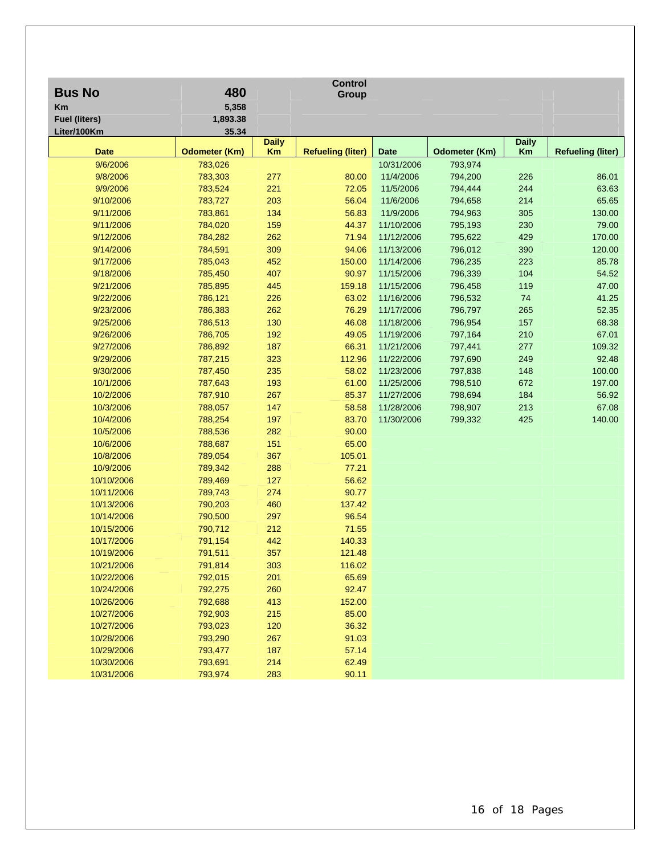| <b>Bus No</b>        | 480                  |                    | <b>Control</b><br>Group  |             |               |                    |                          |
|----------------------|----------------------|--------------------|--------------------------|-------------|---------------|--------------------|--------------------------|
| Km                   | 5,358                |                    |                          |             |               |                    |                          |
| <b>Fuel (liters)</b> | 1,893.38             |                    |                          |             |               |                    |                          |
| Liter/100Km          | 35.34                |                    |                          |             |               |                    |                          |
| <b>Date</b>          | <b>Odometer (Km)</b> | <b>Daily</b><br>Km | <b>Refueling (liter)</b> | <b>Date</b> | Odometer (Km) | <b>Daily</b><br>Km | <b>Refueling (liter)</b> |
| 9/6/2006             | 783,026              |                    |                          | 10/31/2006  | 793,974       |                    |                          |
| 9/8/2006             | 783,303              | 277                | 80.00                    | 11/4/2006   | 794,200       | 226                | 86.01                    |
| 9/9/2006             | 783,524              | 221                | 72.05                    | 11/5/2006   | 794,444       | 244                | 63.63                    |
| 9/10/2006            | 783,727              | 203                | 56.04                    | 11/6/2006   | 794,658       | 214                | 65.65                    |
| 9/11/2006            | 783,861              | 134                | 56.83                    | 11/9/2006   | 794,963       | 305                | 130.00                   |
| 9/11/2006            | 784,020              | 159                | 44.37                    | 11/10/2006  | 795,193       | 230                | 79.00                    |
| 9/12/2006            | 784,282              | 262                | 71.94                    | 11/12/2006  | 795,622       | 429                | 170.00                   |
| 9/14/2006            | 784,591              | 309                | 94.06                    | 11/13/2006  | 796,012       | 390                | 120.00                   |
| 9/17/2006            | 785,043              | 452                | 150.00                   | 11/14/2006  | 796,235       | 223                | 85.78                    |
| 9/18/2006            | 785,450              | 407                | 90.97                    | 11/15/2006  | 796,339       | 104                | 54.52                    |
| 9/21/2006            | 785,895              | 445                | 159.18                   | 11/15/2006  | 796,458       | 119                | 47.00                    |
| 9/22/2006            | 786,121              | 226                | 63.02                    | 11/16/2006  | 796,532       | 74                 | 41.25                    |
| 9/23/2006            | 786,383              | 262                | 76.29                    | 11/17/2006  | 796,797       | 265                | 52.35                    |
| 9/25/2006            | 786,513              | 130                | 46.08                    | 11/18/2006  | 796,954       | 157                | 68.38                    |
| 9/26/2006            | 786,705              | 192                | 49.05                    | 11/19/2006  | 797,164       | 210                | 67.01                    |
| 9/27/2006            | 786,892              | 187                | 66.31                    | 11/21/2006  | 797,441       | 277                | 109.32                   |
| 9/29/2006            | 787,215              | 323                | 112.96                   | 11/22/2006  | 797,690       | 249                | 92.48                    |
| 9/30/2006            | 787,450              | 235                | 58.02                    | 11/23/2006  | 797,838       | 148                | 100.00                   |
| 10/1/2006            | 787,643              | 193                | 61.00                    | 11/25/2006  | 798,510       | 672                | 197.00                   |
| 10/2/2006            | 787,910              | 267                | 85.37                    | 11/27/2006  | 798,694       | 184                | 56.92                    |
| 10/3/2006            | 788,057              | 147                | 58.58                    | 11/28/2006  | 798,907       | 213                | 67.08                    |
| 10/4/2006            | 788,254              | 197                | 83.70                    | 11/30/2006  | 799,332       | 425                | 140.00                   |
| 10/5/2006            | 788,536              | 282                | 90.00                    |             |               |                    |                          |
| 10/6/2006            | 788,687              | 151                | 65.00                    |             |               |                    |                          |
| 10/8/2006            | 789,054              | 367                | 105.01                   |             |               |                    |                          |
| 10/9/2006            | 789,342              | 288                | 77.21                    |             |               |                    |                          |
| 10/10/2006           | 789,469              | 127                | 56.62                    |             |               |                    |                          |
| 10/11/2006           | 789,743              | 274                | 90.77                    |             |               |                    |                          |
| 10/13/2006           | 790,203              | 460                | 137.42                   |             |               |                    |                          |
| 10/14/2006           | 790,500              | 297                | 96.54                    |             |               |                    |                          |
| 10/15/2006           | 790,712              | 212                | 71.55                    |             |               |                    |                          |
| 10/17/2006           | 791,154              | 442                | 140.33                   |             |               |                    |                          |
| 10/19/2006           | 791,511              | 357                | 121.48                   |             |               |                    |                          |
| 10/21/2006           | 791,814              | 303                | 116.02                   |             |               |                    |                          |
| 10/22/2006           | 792,015              | 201                | 65.69                    |             |               |                    |                          |
| 10/24/2006           | 792,275              | 260                | 92.47                    |             |               |                    |                          |
| 10/26/2006           | 792,688              | 413                | 152.00                   |             |               |                    |                          |
| 10/27/2006           | 792,903              | 215                | 85.00                    |             |               |                    |                          |
| 10/27/2006           | 793,023              | 120                | 36.32                    |             |               |                    |                          |
| 10/28/2006           | 793,290              | 267                | 91.03                    |             |               |                    |                          |
| 10/29/2006           | 793,477              | 187                | 57.14                    |             |               |                    |                          |
| 10/30/2006           | 793,691              | 214                | 62.49                    |             |               |                    |                          |
| 10/31/2006           | 793,974              | 283                | 90.11                    |             |               |                    |                          |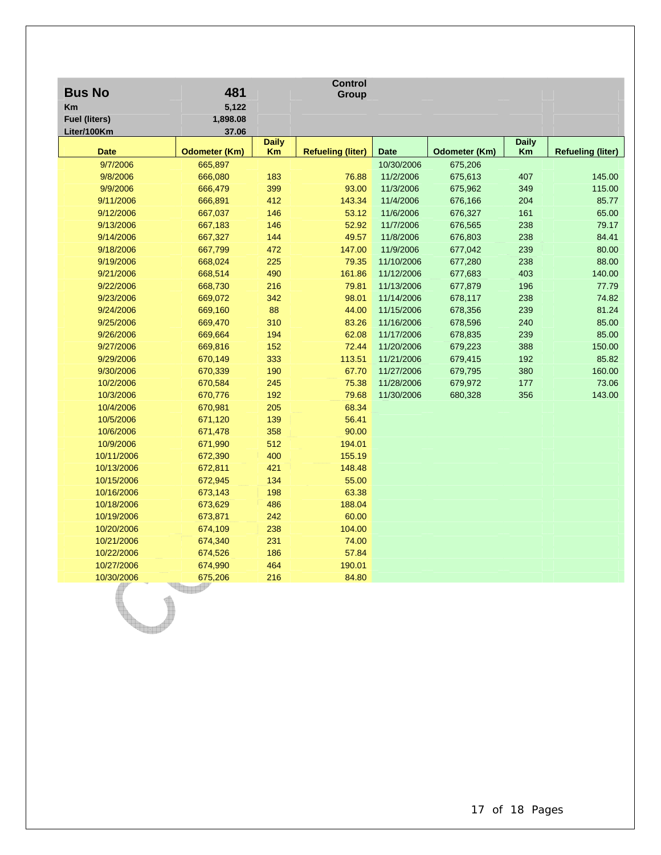| <b>Bus No</b>        | 481                  |              | <b>Control</b><br>Group  |             |               |              |                          |
|----------------------|----------------------|--------------|--------------------------|-------------|---------------|--------------|--------------------------|
| Km                   | 5,122                |              |                          |             |               |              |                          |
| <b>Fuel (liters)</b> | 1,898.08             |              |                          |             |               |              |                          |
| Liter/100Km          | 37.06                |              |                          |             |               |              |                          |
|                      |                      | <b>Daily</b> |                          |             |               | <b>Daily</b> |                          |
| <b>Date</b>          | <b>Odometer (Km)</b> | Km           | <b>Refueling (liter)</b> | <b>Date</b> | Odometer (Km) | Km           | <b>Refueling (liter)</b> |
| 9/7/2006             | 665,897              |              |                          | 10/30/2006  | 675,206       |              |                          |
| 9/8/2006             | 666,080              | 183          | 76.88                    | 11/2/2006   | 675,613       | 407          | 145.00                   |
| 9/9/2006             | 666,479              | 399          | 93.00                    | 11/3/2006   | 675,962       | 349          | 115.00                   |
| 9/11/2006            | 666,891              | 412          | 143.34                   | 11/4/2006   | 676,166       | 204          | 85.77                    |
| 9/12/2006            | 667,037              | 146          | 53.12                    | 11/6/2006   | 676,327       | 161          | 65.00                    |
| 9/13/2006            | 667,183              | 146          | 52.92                    | 11/7/2006   | 676,565       | 238          | 79.17                    |
| 9/14/2006            | 667,327              | 144          | 49.57                    | 11/8/2006   | 676,803       | 238          | 84.41                    |
| 9/18/2006            | 667,799              | 472          | 147.00                   | 11/9/2006   | 677,042       | 239          | 80.00                    |
| 9/19/2006            | 668,024              | 225          | 79.35                    | 11/10/2006  | 677,280       | 238          | 88.00                    |
| 9/21/2006            | 668,514              | 490          | 161.86                   | 11/12/2006  | 677,683       | 403          | 140.00                   |
| 9/22/2006            | 668,730              | 216          | 79.81                    | 11/13/2006  | 677,879       | 196          | 77.79                    |
| 9/23/2006            | 669,072              | 342          | 98.01                    | 11/14/2006  | 678,117       | 238          | 74.82                    |
| 9/24/2006            | 669,160              | 88           | 44.00                    | 11/15/2006  | 678,356       | 239          | 81.24                    |
| 9/25/2006            | 669,470              | 310          | 83.26                    | 11/16/2006  | 678,596       | 240          | 85.00                    |
| 9/26/2006            | 669,664              | 194          | 62.08                    | 11/17/2006  | 678,835       | 239          | 85.00                    |
| 9/27/2006            | 669,816              | 152          | 72.44                    | 11/20/2006  | 679,223       | 388          | 150.00                   |
| 9/29/2006            | 670,149              | 333          | 113.51                   | 11/21/2006  | 679,415       | 192          | 85.82                    |
| 9/30/2006            | 670,339              | 190          | 67.70                    | 11/27/2006  | 679,795       | 380          | 160.00                   |
| 10/2/2006            | 670,584              | 245          | 75.38                    | 11/28/2006  | 679,972       | 177          | 73.06                    |
| 10/3/2006            | 670,776              | 192          | 79.68                    | 11/30/2006  | 680,328       | 356          | 143.00                   |
| 10/4/2006            | 670,981              | 205          | 68.34                    |             |               |              |                          |
| 10/5/2006            | 671,120              | 139          | 56.41                    |             |               |              |                          |
| 10/6/2006            | 671,478              | 358          | 90.00                    |             |               |              |                          |
| 10/9/2006            | 671,990              | 512          | 194.01                   |             |               |              |                          |
| 10/11/2006           | 672,390              | 400          | 155.19                   |             |               |              |                          |
| 10/13/2006           | 672,811              | 421          | 148.48                   |             |               |              |                          |
| 10/15/2006           | 672,945              | 134          | 55.00                    |             |               |              |                          |
| 10/16/2006           | 673,143              | 198          | 63.38                    |             |               |              |                          |
| 10/18/2006           | 673,629              | 486          | 188.04                   |             |               |              |                          |
| 10/19/2006           | 673,871              | 242          | 60.00                    |             |               |              |                          |
| 10/20/2006           | 674,109              | 238          | 104.00                   |             |               |              |                          |
| 10/21/2006           | 674,340              | 231          | 74.00                    |             |               |              |                          |
| 10/22/2006           | 674,526              | 186          | 57.84                    |             |               |              |                          |
| 10/27/2006           | 674,990              | 464          | 190.01                   |             |               |              |                          |
| 10/30/2006           | 675,206              | 216          | 84.80                    |             |               |              |                          |
|                      |                      |              |                          |             |               |              |                          |

 $\mathbb{Q}_+$